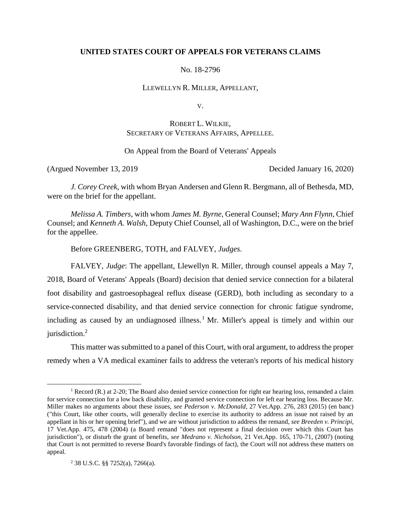## **UNITED STATES COURT OF APPEALS FOR VETERANS CLAIMS**

No. 18-2796

LLEWELLYN R. MILLER, APPELLANT,

V.

# ROBERT L. WILKIE, SECRETARY OF VETERANS AFFAIRS, APPELLEE.

On Appeal from the Board of Veterans' Appeals

(Argued November 13, 2019 Decided January 16, 2020)

*J. Corey Creek*, with whom Bryan Andersen and Glenn R. Bergmann, all of Bethesda, MD, were on the brief for the appellant.

*Melissa A. Timbers*, with whom *James M. Byrne*, General Counsel; *Mary Ann Flynn*, Chief Counsel; and *Kenneth A. Walsh*, Deputy Chief Counsel, all of Washington, D.C., were on the brief for the appellee.

Before GREENBERG, TOTH, and FALVEY, *Judges*.

FALVEY, *Judge*: The appellant, Llewellyn R. Miller, through counsel appeals a May 7, 2018, Board of Veterans' Appeals (Board) decision that denied service connection for a bilateral foot disability and gastroesophageal reflux disease (GERD), both including as secondary to a service-connected disability, and that denied service connection for chronic fatigue syndrome, including as caused by an undiagnosed illness.<sup>1</sup> Mr. Miller's appeal is timely and within our jurisdiction. 2

This matter was submitted to a panel of this Court, with oral argument, to address the proper remedy when a VA medical examiner fails to address the veteran's reports of his medical history

<sup>&</sup>lt;sup>1</sup> Record (R.) at 2-20; The Board also denied service connection for right ear hearing loss, remanded a claim for service connection for a low back disability, and granted service connection for left ear hearing loss. Because Mr. Miller makes no arguments about these issues, *see Pederson v. McDonald*, 27 Vet.App. 276, 283 (2015) (en banc) ("this Court, like other courts, will generally decline to exercise its authority to address an issue not raised by an appellant in his or her opening brief"), and we are without jurisdiction to address the remand, *see Breeden v. Principi*, 17 Vet.App. 475, 478 (2004) (a Board remand "does not represent a final decision over which this Court has jurisdiction"), or disturb the grant of benefits, *see Medrano v. Nicholson*, 21 Vet.App. 165, 170-71, (2007) (noting that Court is not permitted to reverse Board's favorable findings of fact), the Court will not address these matters on appeal.

<sup>2</sup> 38 U.S.C. §§ 7252(a), 7266(a).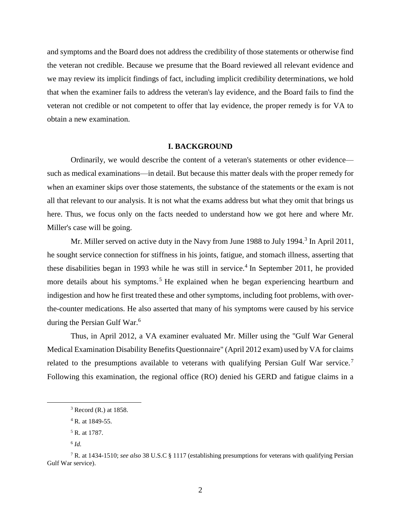and symptoms and the Board does not address the credibility of those statements or otherwise find the veteran not credible. Because we presume that the Board reviewed all relevant evidence and we may review its implicit findings of fact, including implicit credibility determinations, we hold that when the examiner fails to address the veteran's lay evidence, and the Board fails to find the veteran not credible or not competent to offer that lay evidence, the proper remedy is for VA to obtain a new examination.

#### **I. BACKGROUND**

Ordinarily, we would describe the content of a veteran's statements or other evidence such as medical examinations—in detail. But because this matter deals with the proper remedy for when an examiner skips over those statements, the substance of the statements or the exam is not all that relevant to our analysis. It is not what the exams address but what they omit that brings us here. Thus, we focus only on the facts needed to understand how we got here and where Mr. Miller's case will be going.

Mr. Miller served on active duty in the Navy from June 1988 to July 1994.<sup>3</sup> In April 2011, he sought service connection for stiffness in his joints, fatigue, and stomach illness, asserting that these disabilities began in 1993 while he was still in service.<sup>4</sup> In September 2011, he provided more details about his symptoms.<sup>5</sup> He explained when he began experiencing heartburn and indigestion and how he first treated these and other symptoms, including foot problems, with overthe-counter medications. He also asserted that many of his symptoms were caused by his service during the Persian Gulf War.<sup>6</sup>

Thus, in April 2012, a VA examiner evaluated Mr. Miller using the "Gulf War General Medical Examination Disability Benefits Questionnaire" (April 2012 exam) used by VA for claims related to the presumptions available to veterans with qualifying Persian Gulf War service.<sup>7</sup> Following this examination, the regional office (RO) denied his GERD and fatigue claims in a

<sup>3</sup> Record (R.) at 1858.

 $4$  R. at 1849-55.

<sup>&</sup>lt;sup>5</sup> R. at 1787.

<sup>6</sup> *Id.*

<sup>7</sup> R. at 1434-1510; *see also* 38 U.S.C § 1117 (establishing presumptions for veterans with qualifying Persian Gulf War service).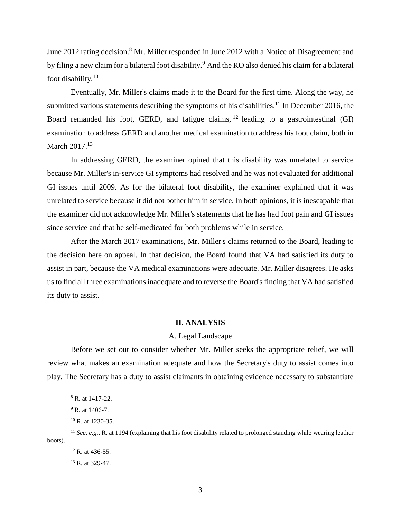June 2012 rating decision.<sup>8</sup> Mr. Miller responded in June 2012 with a Notice of Disagreement and by filing a new claim for a bilateral foot disability.<sup>9</sup> And the RO also denied his claim for a bilateral foot disability.<sup>10</sup>

Eventually, Mr. Miller's claims made it to the Board for the first time. Along the way, he submitted various statements describing the symptoms of his disabilities.<sup>11</sup> In December 2016, the Board remanded his foot, GERD, and fatigue claims,  $^{12}$  leading to a gastrointestinal (GI) examination to address GERD and another medical examination to address his foot claim, both in March 2017.<sup>13</sup>

In addressing GERD, the examiner opined that this disability was unrelated to service because Mr. Miller's in-service GI symptoms had resolved and he was not evaluated for additional GI issues until 2009. As for the bilateral foot disability, the examiner explained that it was unrelated to service because it did not bother him in service. In both opinions, it is inescapable that the examiner did not acknowledge Mr. Miller's statements that he has had foot pain and GI issues since service and that he self-medicated for both problems while in service.

After the March 2017 examinations, Mr. Miller's claims returned to the Board, leading to the decision here on appeal. In that decision, the Board found that VA had satisfied its duty to assist in part, because the VA medical examinations were adequate. Mr. Miller disagrees. He asks us to find all three examinations inadequate and to reverse the Board's finding that VA had satisfied its duty to assist.

#### **II. ANALYSIS**

#### A. Legal Landscape

Before we set out to consider whether Mr. Miller seeks the appropriate relief, we will review what makes an examination adequate and how the Secretary's duty to assist comes into play. The Secretary has a duty to assist claimants in obtaining evidence necessary to substantiate

<sup>8</sup> R. at 1417-22.

 $9$  R. at 1406-7.

<sup>&</sup>lt;sup>10</sup> R. at 1230-35.

<sup>11</sup> *See, e.g.*, R. at 1194 (explaining that his foot disability related to prolonged standing while wearing leather boots).

 $12$  R at 436-55.

<sup>&</sup>lt;sup>13</sup> R. at 329-47.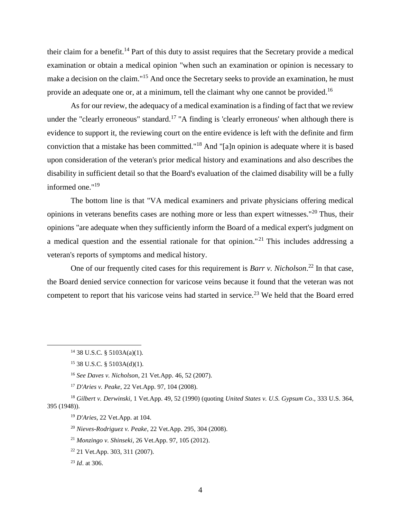their claim for a benefit.<sup>14</sup> Part of this duty to assist requires that the Secretary provide a medical examination or obtain a medical opinion "when such an examination or opinion is necessary to make a decision on the claim."<sup>15</sup> And once the Secretary seeks to provide an examination, he must provide an adequate one or, at a minimum, tell the claimant why one cannot be provided.<sup>16</sup>

As for our review, the adequacy of a medical examination is a finding of fact that we review under the "clearly erroneous" standard.<sup>17</sup> "A finding is 'clearly erroneous' when although there is evidence to support it, the reviewing court on the entire evidence is left with the definite and firm conviction that a mistake has been committed."<sup>18</sup> And "[a]n opinion is adequate where it is based upon consideration of the veteran's prior medical history and examinations and also describes the disability in sufficient detail so that the Board's evaluation of the claimed disability will be a fully informed one."<sup>19</sup>

The bottom line is that "VA medical examiners and private physicians offering medical opinions in veterans benefits cases are nothing more or less than expert witnesses."<sup>20</sup> Thus, their opinions "are adequate when they sufficiently inform the Board of a medical expert's judgment on a medical question and the essential rationale for that opinion."<sup>21</sup> This includes addressing a veteran's reports of symptoms and medical history.

One of our frequently cited cases for this requirement is *Barr v. Nicholson*. <sup>22</sup> In that case, the Board denied service connection for varicose veins because it found that the veteran was not competent to report that his varicose veins had started in service.<sup>23</sup> We held that the Board erred

<sup>14</sup> 38 U.S.C. § 5103A(a)(1).

 $15$  38 U.S.C. § 5103A(d)(1).

<sup>16</sup> *See Daves v. Nicholson*, 21 Vet.App. 46, 52 (2007).

<sup>17</sup> *D'Aries v. Peake*, 22 Vet.App. 97, 104 (2008).

<sup>18</sup> *Gilbert v. Derwinski*, 1 Vet.App. 49, 52 (1990) (quoting *United States v. U.S. Gypsum Co*., 333 U.S. 364, 395 (1948)).

<sup>19</sup> *D'Aries*, 22 Vet.App. at 104.

<sup>20</sup> *Nieves-Rodriguez v. Peake*, 22 Vet.App. 295, 304 (2008).

<sup>21</sup> *Monzingo v. Shinseki*, 26 Vet.App. 97, 105 (2012).

<sup>22</sup> 21 Vet.App. 303, 311 (2007).

<sup>23</sup> *Id*. at 306.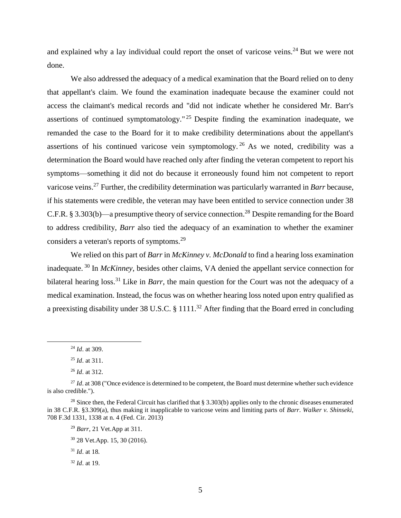and explained why a lay individual could report the onset of varicose veins.<sup>24</sup> But we were not done.

We also addressed the adequacy of a medical examination that the Board relied on to deny that appellant's claim. We found the examination inadequate because the examiner could not access the claimant's medical records and "did not indicate whether he considered Mr. Barr's assertions of continued symptomatology."<sup>25</sup> Despite finding the examination inadequate, we remanded the case to the Board for it to make credibility determinations about the appellant's assertions of his continued varicose vein symptomology.<sup>26</sup> As we noted, credibility was a determination the Board would have reached only after finding the veteran competent to report his symptoms—something it did not do because it erroneously found him not competent to report varicose veins. <sup>27</sup> Further, the credibility determination was particularly warranted in *Barr* because, if his statements were credible, the veteran may have been entitled to service connection under 38 C.F.R. § 3.303(b)—a presumptive theory of service connection.<sup>28</sup> Despite remanding for the Board to address credibility, *Barr* also tied the adequacy of an examination to whether the examiner considers a veteran's reports of symptoms.<sup>29</sup>

We relied on this part of *Barr* in *McKinney v. McDonald* to find a hearing loss examination inadequate. <sup>30</sup> In *McKinney*, besides other claims, VA denied the appellant service connection for bilateral hearing loss.<sup>31</sup> Like in *Barr*, the main question for the Court was not the adequacy of a medical examination. Instead, the focus was on whether hearing loss noted upon entry qualified as a preexisting disability under 38 U.S.C. § 1111.<sup>32</sup> After finding that the Board erred in concluding

<sup>24</sup> *Id*. at 309.

<sup>25</sup> *Id*. at 311.

<sup>26</sup> *Id*. at 312.

<sup>&</sup>lt;sup>27</sup> *Id.* at 308 ("Once evidence is determined to be competent, the Board must determine whether such evidence is also credible.").

<sup>&</sup>lt;sup>28</sup> Since then, the Federal Circuit has clarified that § 3.303(b) applies only to the chronic diseases enumerated in 38 C.F.R. §3.309(a), thus making it inapplicable to varicose veins and limiting parts of *Barr*. *Walker v. Shinseki*, 708 F.3d 1331, 1338 at n. 4 (Fed. Cir. 2013)

<sup>29</sup> *Barr*, 21 Vet.App at 311.

<sup>30</sup> 28 Vet.App. 15, 30 (2016).

<sup>31</sup> *Id*. at 18*.* 

<sup>32</sup> *Id*. at 19.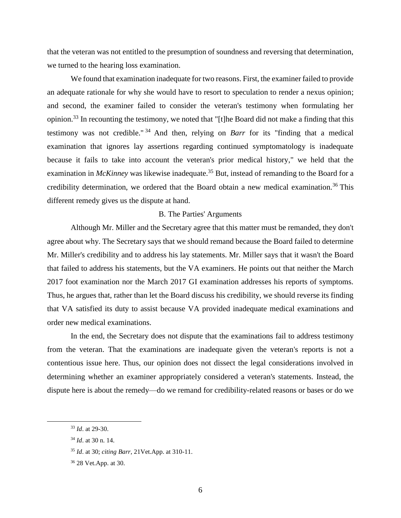that the veteran was not entitled to the presumption of soundness and reversing that determination, we turned to the hearing loss examination.

We found that examination inadequate for two reasons. First, the examiner failed to provide an adequate rationale for why she would have to resort to speculation to render a nexus opinion; and second, the examiner failed to consider the veteran's testimony when formulating her opinion.<sup>33</sup> In recounting the testimony, we noted that "[t]he Board did not make a finding that this testimony was not credible." <sup>34</sup> And then, relying on *Barr* for its "finding that a medical examination that ignores lay assertions regarding continued symptomatology is inadequate because it fails to take into account the veteran's prior medical history," we held that the examination in *McKinney* was likewise inadequate.<sup>35</sup> But, instead of remanding to the Board for a credibility determination, we ordered that the Board obtain a new medical examination.<sup>36</sup> This different remedy gives us the dispute at hand.

#### B. The Parties' Arguments

Although Mr. Miller and the Secretary agree that this matter must be remanded, they don't agree about why. The Secretary says that we should remand because the Board failed to determine Mr. Miller's credibility and to address his lay statements. Mr. Miller says that it wasn't the Board that failed to address his statements, but the VA examiners. He points out that neither the March 2017 foot examination nor the March 2017 GI examination addresses his reports of symptoms. Thus, he argues that, rather than let the Board discuss his credibility, we should reverse its finding that VA satisfied its duty to assist because VA provided inadequate medical examinations and order new medical examinations.

In the end, the Secretary does not dispute that the examinations fail to address testimony from the veteran. That the examinations are inadequate given the veteran's reports is not a contentious issue here. Thus, our opinion does not dissect the legal considerations involved in determining whether an examiner appropriately considered a veteran's statements. Instead, the dispute here is about the remedy—do we remand for credibility-related reasons or bases or do we

<sup>33</sup> *Id*. at 29-30.

<sup>34</sup> *Id*. at 30 n. 14.

<sup>35</sup> *Id*. at 30; *citing Barr*, 21Vet.App. at 310-11.

<sup>36</sup> 28 Vet.App. at 30.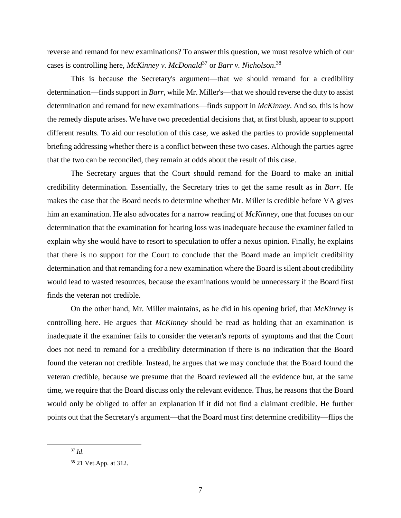reverse and remand for new examinations? To answer this question, we must resolve which of our cases is controlling here, *McKinney v. McDonald*<sup>37</sup> or *Barr v. Nicholson*. 38

This is because the Secretary's argument—that we should remand for a credibility determination—finds support in *Barr,* while Mr. Miller's—that we should reverse the duty to assist determination and remand for new examinations—finds support in *McKinney*. And so, this is how the remedy dispute arises. We have two precedential decisions that, at first blush, appear to support different results. To aid our resolution of this case, we asked the parties to provide supplemental briefing addressing whether there is a conflict between these two cases. Although the parties agree that the two can be reconciled, they remain at odds about the result of this case.

The Secretary argues that the Court should remand for the Board to make an initial credibility determination. Essentially, the Secretary tries to get the same result as in *Barr*. He makes the case that the Board needs to determine whether Mr. Miller is credible before VA gives him an examination. He also advocates for a narrow reading of *McKinney*, one that focuses on our determination that the examination for hearing loss was inadequate because the examiner failed to explain why she would have to resort to speculation to offer a nexus opinion. Finally, he explains that there is no support for the Court to conclude that the Board made an implicit credibility determination and that remanding for a new examination where the Board is silent about credibility would lead to wasted resources, because the examinations would be unnecessary if the Board first finds the veteran not credible.

On the other hand, Mr. Miller maintains, as he did in his opening brief, that *McKinney* is controlling here. He argues that *McKinney* should be read as holding that an examination is inadequate if the examiner fails to consider the veteran's reports of symptoms and that the Court does not need to remand for a credibility determination if there is no indication that the Board found the veteran not credible. Instead, he argues that we may conclude that the Board found the veteran credible, because we presume that the Board reviewed all the evidence but, at the same time, we require that the Board discuss only the relevant evidence. Thus, he reasons that the Board would only be obliged to offer an explanation if it did not find a claimant credible. He further points out that the Secretary's argument—that the Board must first determine credibility—flips the

<sup>37</sup> *Id*.

<sup>38</sup> 21 Vet.App. at 312.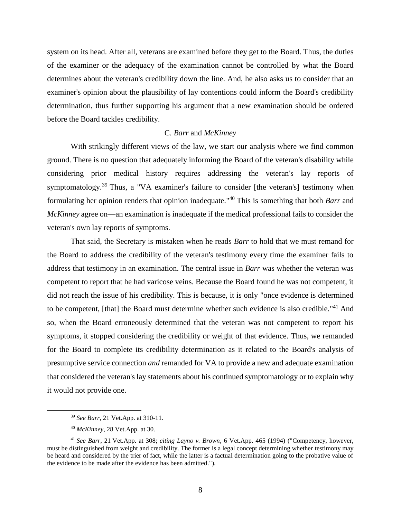system on its head. After all, veterans are examined before they get to the Board. Thus, the duties of the examiner or the adequacy of the examination cannot be controlled by what the Board determines about the veteran's credibility down the line. And, he also asks us to consider that an examiner's opinion about the plausibility of lay contentions could inform the Board's credibility determination, thus further supporting his argument that a new examination should be ordered before the Board tackles credibility.

### C. *Barr* and *McKinney*

With strikingly different views of the law, we start our analysis where we find common ground. There is no question that adequately informing the Board of the veteran's disability while considering prior medical history requires addressing the veteran's lay reports of symptomatology.<sup>39</sup> Thus, a "VA examiner's failure to consider [the veteran's] testimony when formulating her opinion renders that opinion inadequate." <sup>40</sup> This is something that both *Barr* and *McKinney* agree on—an examination is inadequate if the medical professional fails to consider the veteran's own lay reports of symptoms.

That said, the Secretary is mistaken when he reads *Barr* to hold that we must remand for the Board to address the credibility of the veteran's testimony every time the examiner fails to address that testimony in an examination. The central issue in *Barr* was whether the veteran was competent to report that he had varicose veins. Because the Board found he was not competent, it did not reach the issue of his credibility. This is because, it is only "once evidence is determined to be competent, [that] the Board must determine whether such evidence is also credible."<sup>41</sup> And so, when the Board erroneously determined that the veteran was not competent to report his symptoms, it stopped considering the credibility or weight of that evidence. Thus, we remanded for the Board to complete its credibility determination as it related to the Board's analysis of presumptive service connection *and* remanded for VA to provide a new and adequate examination that considered the veteran's lay statements about his continued symptomatology or to explain why it would not provide one.

<sup>39</sup> *See Barr*, 21 Vet.App. at 310-11.

<sup>40</sup> *McKinney*, 28 Vet.App. at 30.

<sup>41</sup> *See Barr*, 21 Vet.App. at 308; *citing Layno v. Brown*, 6 Vet.App. 465 (1994) ("Competency, however, must be distinguished from weight and credibility. The former is a legal concept determining whether testimony may be heard and considered by the trier of fact, while the latter is a factual determination going to the probative value of the evidence to be made after the evidence has been admitted.").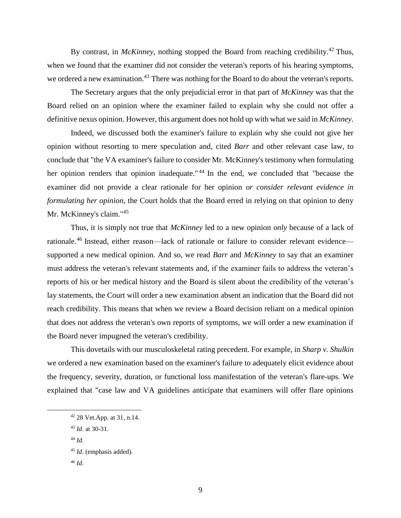By contrast, in *McKinney*, nothing stopped the Board from reaching credibility.<sup>42</sup> Thus, when we found that the examiner did not consider the veteran's reports of his hearing symptoms, we ordered a new examination.<sup>43</sup> There was nothing for the Board to do about the veteran's reports.

The Secretary argues that the only prejudicial error in that part of *McKinney* was that the Board relied on an opinion where the examiner failed to explain why she could not offer a definitive nexus opinion. However, this argument does not hold up with what we said in *McKinney*.

Indeed, we discussed both the examiner's failure to explain why she could not give her opinion without resorting to mere speculation and, cited *Barr* and other relevant case law, to conclude that "the VA examiner's failure to consider Mr. McKinney's testimony when formulating her opinion renders that opinion inadequate." <sup>44</sup> In the end, we concluded that "because the examiner did not provide a clear rationale for her opinion *or consider relevant evidence in formulating her opinion*, the Court holds that the Board erred in relying on that opinion to deny Mr. McKinney's claim."<sup>45</sup>

Thus, it is simply not true that *McKinney* led to a new opinion *only* because of a lack of rationale.<sup>46</sup> Instead, either reason—lack of rationale or failure to consider relevant evidence supported a new medical opinion. And so, we read *Barr* and *McKinney* to say that an examiner must address the veteran's relevant statements and, if the examiner fails to address the veteran's reports of his or her medical history and the Board is silent about the credibility of the veteran's lay statements, the Court will order a new examination absent an indication that the Board did not reach credibility. This means that when we review a Board decision reliant on a medical opinion that does not address the veteran's own reports of symptoms, we will order a new examination if the Board never impugned the veteran's credibility.

This dovetails with our musculoskeletal rating precedent. For example, in *Sharp v. Shulkin* we ordered a new examination based on the examiner's failure to adequately elicit evidence about the frequency, severity, duration, or functional loss manifestation of the veteran's flare-ups. We explained that "case law and VA guidelines anticipate that examiners will offer flare opinions

- <sup>43</sup> *Id*. at 30-31.
- <sup>44</sup> *Id.*

 $\overline{a}$ 

<sup>46</sup> *Id.*

<sup>42</sup> 28 Vet.App. at 31, n.14.

<sup>45</sup> *Id.* (emphasis added).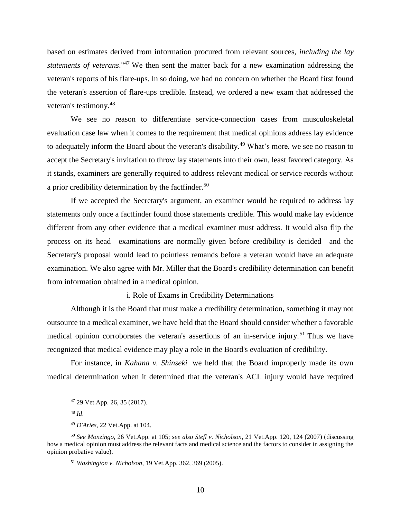based on estimates derived from information procured from relevant sources, *including the lay statements of veterans*." <sup>47</sup> We then sent the matter back for a new examination addressing the veteran's reports of his flare-ups. In so doing, we had no concern on whether the Board first found the veteran's assertion of flare-ups credible. Instead, we ordered a new exam that addressed the veteran's testimony.<sup>48</sup>

We see no reason to differentiate service-connection cases from musculoskeletal evaluation case law when it comes to the requirement that medical opinions address lay evidence to adequately inform the Board about the veteran's disability.<sup>49</sup> What's more, we see no reason to accept the Secretary's invitation to throw lay statements into their own, least favored category. As it stands, examiners are generally required to address relevant medical or service records without a prior credibility determination by the factfinder.<sup>50</sup>

If we accepted the Secretary's argument, an examiner would be required to address lay statements only once a factfinder found those statements credible. This would make lay evidence different from any other evidence that a medical examiner must address. It would also flip the process on its head—examinations are normally given before credibility is decided—and the Secretary's proposal would lead to pointless remands before a veteran would have an adequate examination. We also agree with Mr. Miller that the Board's credibility determination can benefit from information obtained in a medical opinion.

i. Role of Exams in Credibility Determinations

Although it is the Board that must make a credibility determination, something it may not outsource to a medical examiner, we have held that the Board should consider whether a favorable medical opinion corroborates the veteran's assertions of an in-service injury.<sup>51</sup> Thus we have recognized that medical evidence may play a role in the Board's evaluation of credibility.

For instance, in *Kahana v. Shinseki* we held that the Board improperly made its own medical determination when it determined that the veteran's ACL injury would have required

<sup>47</sup> 29 Vet.App. 26, 35 (2017).

<sup>48</sup> *Id*.

<sup>49</sup> *D'Aries*, 22 Vet.App. at 104.

<sup>50</sup> *See Monzingo*, 26 Vet.App. at 105; *see also Stefl v. Nicholson*, 21 Vet.App. 120, 124 (2007) (discussing how a medical opinion must address the relevant facts and medical science and the factors to consider in assigning the opinion probative value).

<sup>51</sup> *Washington v. Nicholson*, 19 Vet.App. 362, 369 (2005).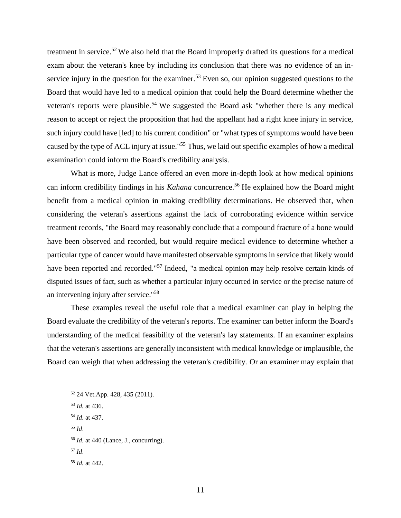treatment in service.<sup>52</sup> We also held that the Board improperly drafted its questions for a medical exam about the veteran's knee by including its conclusion that there was no evidence of an inservice injury in the question for the examiner.<sup>53</sup> Even so, our opinion suggested questions to the Board that would have led to a medical opinion that could help the Board determine whether the veteran's reports were plausible.<sup>54</sup> We suggested the Board ask "whether there is any medical reason to accept or reject the proposition that had the appellant had a right knee injury in service, such injury could have [led] to his current condition" or "what types of symptoms would have been caused by the type of ACL injury at issue."<sup>55</sup> Thus, we laid out specific examples of how a medical examination could inform the Board's credibility analysis.

What is more, Judge Lance offered an even more in-depth look at how medical opinions can inform credibility findings in his *Kahana* concurrence. <sup>56</sup> He explained how the Board might benefit from a medical opinion in making credibility determinations. He observed that, when considering the veteran's assertions against the lack of corroborating evidence within service treatment records, "the Board may reasonably conclude that a compound fracture of a bone would have been observed and recorded, but would require medical evidence to determine whether a particular type of cancer would have manifested observable symptoms in service that likely would have been reported and recorded."<sup>57</sup> Indeed, "a medical opinion may help resolve certain kinds of disputed issues of fact, such as whether a particular injury occurred in service or the precise nature of an intervening injury after service."<sup>58</sup>

These examples reveal the useful role that a medical examiner can play in helping the Board evaluate the credibility of the veteran's reports. The examiner can better inform the Board's understanding of the medical feasibility of the veteran's lay statements. If an examiner explains that the veteran's assertions are generally inconsistent with medical knowledge or implausible, the Board can weigh that when addressing the veteran's credibility. Or an examiner may explain that

<sup>52</sup> 24 Vet.App. 428, 435 (2011).

- <sup>53</sup> *Id.* at 436.
- <sup>54</sup> *Id.* at 437.
- <sup>55</sup> *Id*.

- <sup>56</sup> *Id.* at 440 (Lance, J., concurring).
- <sup>57</sup> *Id*.

<sup>58</sup> *Id.* at 442.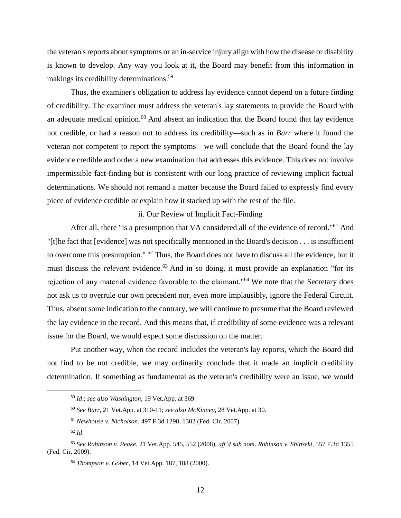the veteran's reports about symptoms or an in-service injury align with how the disease or disability is known to develop. Any way you look at it, the Board may benefit from this information in makings its credibility determinations.<sup>59</sup>

Thus, the examiner's obligation to address lay evidence cannot depend on a future finding of credibility. The examiner must address the veteran's lay statements to provide the Board with an adequate medical opinion. $60$  And absent an indication that the Board found that lay evidence not credible, or had a reason not to address its credibility—such as in *Barr* where it found the veteran not competent to report the symptoms—we will conclude that the Board found the lay evidence credible and order a new examination that addresses this evidence. This does not involve impermissible fact-finding but is consistent with our long practice of reviewing implicit factual determinations. We should not remand a matter because the Board failed to expressly find every piece of evidence credible or explain how it stacked up with the rest of the file.

#### ii. Our Review of Implicit Fact-Finding

After all, there "is a presumption that VA considered all of the evidence of record."<sup>61</sup> And "[t]he fact that [evidence] was not specifically mentioned in the Board's decision . . . is insufficient to overcome this presumption."  $62$  Thus, the Board does not have to discuss all the evidence, but it must discuss the *relevant* evidence.<sup>63</sup> And in so doing, it must provide an explanation "for its rejection of any material evidence favorable to the claimant."<sup>64</sup> We note that the Secretary does not ask us to overrule our own precedent nor, even more implausibly, ignore the Federal Circuit. Thus, absent some indication to the contrary, we will continue to presume that the Board reviewed the lay evidence in the record. And this means that, if credibility of some evidence was a relevant issue for the Board, we would expect some discussion on the matter.

Put another way, when the record includes the veteran's lay reports, which the Board did not find to be not credible, we may ordinarily conclude that it made an implicit credibility determination. If something as fundamental as the veteran's credibility were an issue, we would

<sup>59</sup> *Id*.; *see also Washington*, 19 Vet.App. at 369.

<sup>60</sup> *See Barr*, 21 Vet.App. at 310-11; *see also McKinney*, 28 Vet.App. at 30.

<sup>61</sup> *Newhouse v. Nicholson*, 497 F.3d 1298, 1302 (Fed. Cir. 2007).

<sup>62</sup> *Id*.

<sup>63</sup> *See Robinson v. Peake*, 21 Vet.App. 545, 552 (2008), *aff'd sub nom*. *Robinson v. Shinseki,* 557 F.3d 1355 (Fed. Cir. 2009).

<sup>64</sup> *Thompson v. Gober*, 14 Vet.App. 187, 188 (2000).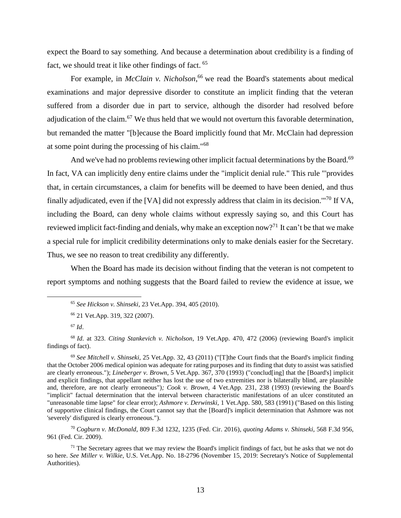expect the Board to say something. And because a determination about credibility is a finding of fact, we should treat it like other findings of fact. <sup>65</sup>

For example, in *McClain v. Nicholson*, <sup>66</sup> we read the Board's statements about medical examinations and major depressive disorder to constitute an implicit finding that the veteran suffered from a disorder due in part to service, although the disorder had resolved before adjudication of the claim.<sup>67</sup> We thus held that we would not overturn this favorable determination, but remanded the matter "[b]ecause the Board implicitly found that Mr. McClain had depression at some point during the processing of his claim." 68

And we've had no problems reviewing other implicit factual determinations by the Board.<sup>69</sup> In fact, VA can implicitly deny entire claims under the "implicit denial rule." This rule "'provides that, in certain circumstances, a claim for benefits will be deemed to have been denied, and thus finally adjudicated, even if the [VA] did not expressly address that claim in its decision."<sup>70</sup> If VA, including the Board, can deny whole claims without expressly saying so, and this Court has reviewed implicit fact-finding and denials, why make an exception now?<sup>71</sup> It can't be that we make a special rule for implicit credibility determinations only to make denials easier for the Secretary. Thus, we see no reason to treat credibility any differently.

When the Board has made its decision without finding that the veteran is not competent to report symptoms and nothing suggests that the Board failed to review the evidence at issue, we

 $\overline{a}$ 

<sup>70</sup> *Cogburn v. McDonald*, 809 F.3d 1232, 1235 (Fed. Cir. 2016), *quoting Adams v. Shinseki*, 568 F.3d 956, 961 (Fed. Cir. 2009).

 $71$  The Secretary agrees that we may review the Board's implicit findings of fact, but he asks that we not do so here. *See Miller v. Wilkie*, U.S. Vet.App. No. 18-2796 (November 15, 2019: Secretary's Notice of Supplemental Authorities).

<sup>65</sup> *See Hickson v. Shinseki*, 23 Vet.App. 394, 405 (2010).

<sup>66</sup> 21 Vet.App. 319, 322 (2007).

<sup>67</sup> *Id*.

<sup>68</sup> *Id*. at 323. *Citing Stankevich v. Nicholson*, 19 Vet.App. 470, 472 (2006) (reviewing Board's implicit findings of fact).

<sup>69</sup> *See Mitchell v. Shinseki,* 25 Vet.App. 32, 43 (2011) ("[T]the Court finds that the Board's implicit finding that the October 2006 medical opinion was adequate for rating purposes and its finding that duty to assist was satisfied are clearly erroneous."); *Lineberger v. Brown*, 5 Vet.App. 367, 370 (1993) ("conclud[ing] that the [Board's] implicit and explicit findings, that appellant neither has lost the use of two extremities nor is bilaterally blind, are plausible and, therefore, are not clearly erroneous")*; Cook v. Brown*, 4 Vet.App. 231, 238 (1993) (reviewing the Board's "implicit" factual determination that the interval between characteristic manifestations of an ulcer constituted an "unreasonable time lapse" for clear error); *Ashmore v. Derwinski,* 1 Vet.App. 580, 583 (1991) ("Based on this listing of supportive clinical findings, the Court cannot say that the [Board]'s implicit determination that Ashmore was not 'severely' disfigured is clearly erroneous.").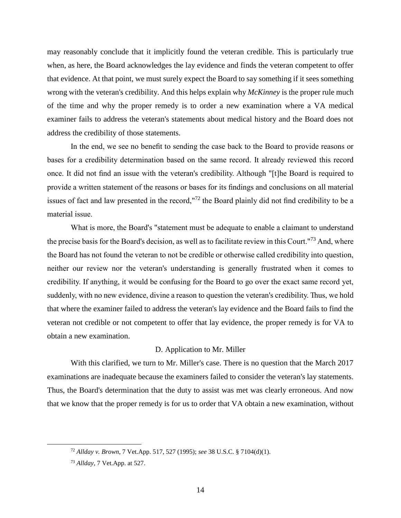may reasonably conclude that it implicitly found the veteran credible. This is particularly true when, as here, the Board acknowledges the lay evidence and finds the veteran competent to offer that evidence. At that point, we must surely expect the Board to say something if it sees something wrong with the veteran's credibility. And this helps explain why *McKinney* is the proper rule much of the time and why the proper remedy is to order a new examination where a VA medical examiner fails to address the veteran's statements about medical history and the Board does not address the credibility of those statements.

In the end, we see no benefit to sending the case back to the Board to provide reasons or bases for a credibility determination based on the same record. It already reviewed this record once. It did not find an issue with the veteran's credibility. Although "[t]he Board is required to provide a written statement of the reasons or bases for its findings and conclusions on all material issues of fact and law presented in the record,"<sup>72</sup> the Board plainly did not find credibility to be a material issue.

What is more, the Board's "statement must be adequate to enable a claimant to understand the precise basis for the Board's decision, as well as to facilitate review in this Court."<sup>73</sup> And, where the Board has not found the veteran to not be credible or otherwise called credibility into question, neither our review nor the veteran's understanding is generally frustrated when it comes to credibility. If anything, it would be confusing for the Board to go over the exact same record yet, suddenly, with no new evidence, divine a reason to question the veteran's credibility. Thus, we hold that where the examiner failed to address the veteran's lay evidence and the Board fails to find the veteran not credible or not competent to offer that lay evidence, the proper remedy is for VA to obtain a new examination.

#### D. Application to Mr. Miller

With this clarified, we turn to Mr. Miller's case. There is no question that the March 2017 examinations are inadequate because the examiners failed to consider the veteran's lay statements. Thus, the Board's determination that the duty to assist was met was clearly erroneous. And now that we know that the proper remedy is for us to order that VA obtain a new examination, without

<sup>72</sup> *Allday v. Brown*, 7 Vet.App. 517, 527 (1995); *see* 38 U.S.C. § 7104(d)(1).

<sup>73</sup> *Allday*, 7 Vet.App. at 527.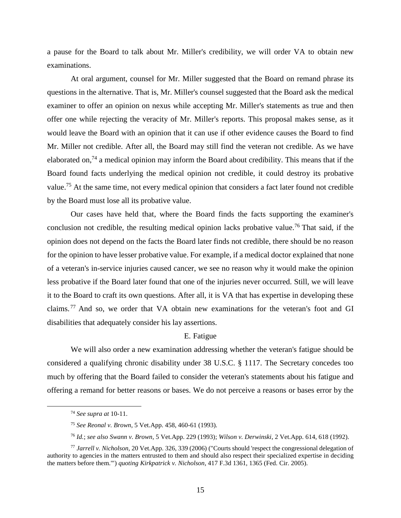a pause for the Board to talk about Mr. Miller's credibility, we will order VA to obtain new examinations.

At oral argument, counsel for Mr. Miller suggested that the Board on remand phrase its questions in the alternative. That is, Mr. Miller's counsel suggested that the Board ask the medical examiner to offer an opinion on nexus while accepting Mr. Miller's statements as true and then offer one while rejecting the veracity of Mr. Miller's reports. This proposal makes sense, as it would leave the Board with an opinion that it can use if other evidence causes the Board to find Mr. Miller not credible. After all, the Board may still find the veteran not credible. As we have elaborated on,<sup>74</sup> a medical opinion may inform the Board about credibility. This means that if the Board found facts underlying the medical opinion not credible, it could destroy its probative value.<sup>75</sup> At the same time, not every medical opinion that considers a fact later found not credible by the Board must lose all its probative value.

Our cases have held that, where the Board finds the facts supporting the examiner's conclusion not credible, the resulting medical opinion lacks probative value.<sup>76</sup> That said, if the opinion does not depend on the facts the Board later finds not credible, there should be no reason for the opinion to have lesser probative value. For example, if a medical doctor explained that none of a veteran's in-service injuries caused cancer, we see no reason why it would make the opinion less probative if the Board later found that one of the injuries never occurred. Still, we will leave it to the Board to craft its own questions. After all, it is VA that has expertise in developing these claims. <sup>77</sup> And so, we order that VA obtain new examinations for the veteran's foot and GI disabilities that adequately consider his lay assertions.

## E. Fatigue

We will also order a new examination addressing whether the veteran's fatigue should be considered a qualifying chronic disability under 38 U.S.C. § 1117. The Secretary concedes too much by offering that the Board failed to consider the veteran's statements about his fatigue and offering a remand for better reasons or bases. We do not perceive a reasons or bases error by the

<sup>74</sup> *See supra at* 10-11.

<sup>75</sup> *See Reonal v. Brown*, 5 Vet.App. 458, 460-61 (1993)*.*

<sup>76</sup> *Id.*; *see also Swann v. Brown,* 5 Vet.App. 229 (1993); *Wilson v. Derwinski*, 2 Vet.App. 614, 618 (1992).

<sup>77</sup> *Jarrell v. Nicholson*, 20 Vet.App. 326, 339 (2006) ("Courts should 'respect the congressional delegation of authority to agencies in the matters entrusted to them and should also respect their specialized expertise in deciding the matters before them.'") *quoting Kirkpatrick v. Nicholson*, 417 F.3d 1361, 1365 (Fed. Cir. 2005).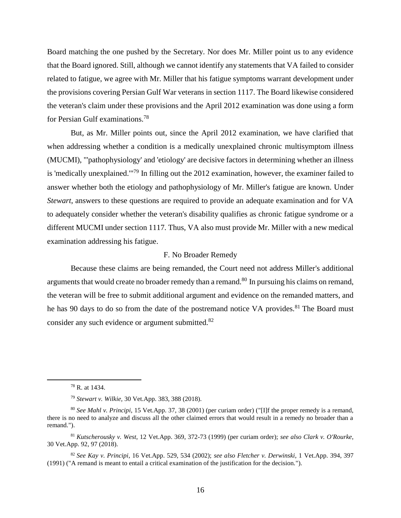Board matching the one pushed by the Secretary. Nor does Mr. Miller point us to any evidence that the Board ignored. Still, although we cannot identify any statements that VA failed to consider related to fatigue, we agree with Mr. Miller that his fatigue symptoms warrant development under the provisions covering Persian Gulf War veterans in section 1117. The Board likewise considered the veteran's claim under these provisions and the April 2012 examination was done using a form for Persian Gulf examinations.<sup>78</sup>

But, as Mr. Miller points out, since the April 2012 examination, we have clarified that when addressing whether a condition is a medically unexplained chronic multisymptom illness (MUCMI), "'pathophysiology' and 'etiology' are decisive factors in determining whether an illness is 'medically unexplained."<sup>79</sup> In filling out the 2012 examination, however, the examiner failed to answer whether both the etiology and pathophysiology of Mr. Miller's fatigue are known. Under *Stewart*, answers to these questions are required to provide an adequate examination and for VA to adequately consider whether the veteran's disability qualifies as chronic fatigue syndrome or a different MUCMI under section 1117*.* Thus, VA also must provide Mr. Miller with a new medical examination addressing his fatigue.

## F. No Broader Remedy

Because these claims are being remanded, the Court need not address Miller's additional arguments that would create no broader remedy than a remand.<sup>80</sup> In pursuing his claims on remand, the veteran will be free to submit additional argument and evidence on the remanded matters, and he has 90 days to do so from the date of the postremand notice VA provides.<sup>81</sup> The Board must consider any such evidence or argument submitted.<sup>82</sup>

<sup>78</sup> R. at 1434.

<sup>79</sup> *Stewart v. Wilkie,* 30 Vet.App. 383, 388 (2018).

<sup>80</sup> *See Mahl v. Principi*, 15 Vet.App. 37, 38 (2001) (per curiam order) ("[I]f the proper remedy is a remand, there is no need to analyze and discuss all the other claimed errors that would result in a remedy no broader than a remand.").

<sup>81</sup> *Kutscherousky v. West*, 12 Vet.App. 369, 372-73 (1999) (per curiam order); *see also Clark v. O'Rourke*, 30 Vet.App. 92, 97 (2018).

<sup>82</sup> *See Kay v. Principi*, 16 Vet.App. 529, 534 (2002); *see also Fletcher v. Derwinski*, 1 Vet.App. 394, 397 (1991) ("A remand is meant to entail a critical examination of the justification for the decision.").